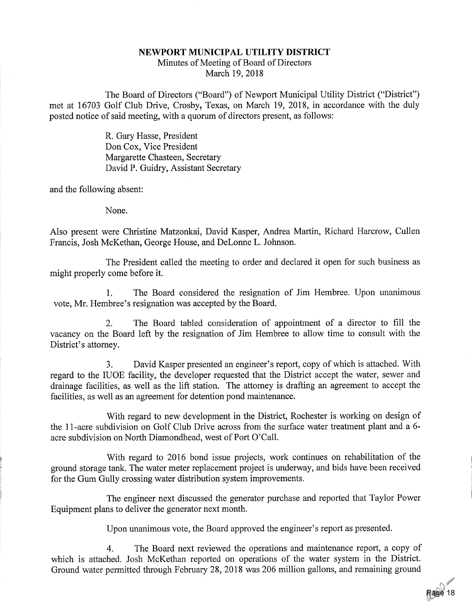## NEWPORT MUNICIPAL UTILITY DISTRICT Minutes of Meeting of Board of DirectorsMarch 19,2018

The Board of Directors ("Board") of Newport Municipal Utility District ("District") met at 16703 Golf Club Drive, Crosby, Texas, on March 19, 2018, in accordance with the dulyposted notice of said meeting, with a quorum of directors present, as follows:

> R. Gary Hasse, President Don Cox, Vice President Margarette Chasteen, SecretaryDavid P. Guidry, Assistant Secretary

and the following absent:

None.

Also present were Christine Matzonkai, David Kasper, Andrea Martin, Richard Harcrow, CullenFrancis, Josh McKethan, George House, and DeLonne L. Johnson.

The President called the meeting to order and declared it open for such business asmight properly come before it.

1. The Board considered the resignation of Jim Hembree. Upon unanimousvote, Mr. Hembree's resignation was accepted by the Board.

2. The Board tabled consideration of appointment of a director to fill thevacancy on the Board left by the resignation of Jim Hembree to allow time to consult with th District's attorney.

3. David Kasper presented an engineer's report, copy of which is attached. With regard to the IUOE facility, the developer requested that the District accept the water, sewer and drainage facilities, as well as the lift station. The attorney is drafting an agreement to accept thefacilities, as well as an agreement for detention pond maintenance.

With regard to new development in the District, Rochester is working on design of the 11-acre subdivision on Golf Club Drive across from the surface water treatment plant and a 6acre subdivision on North Diamondhead, west of Port O'Call.

With regard to 2016 bond issue projects, work continues on rehabilitation of the ground storage tank. The water meter replacement project is underway, and bids have been receivedfor the Gum Gully crossing water distribution system improvements.

The engineer next discussed the generator purchase and reported that Taylor PowerEquipment plans to deliver the generator next month.

Upon unanimous vote, the Board approved the engineer's report as presented.

4. The Board next reviewed the operations and maintenance report, a copy of which is attached. Josh McKethan reported on operations of the water system in the District.Ground water permitted through February 28, 2018 was 206 million gallons, and remaining ground